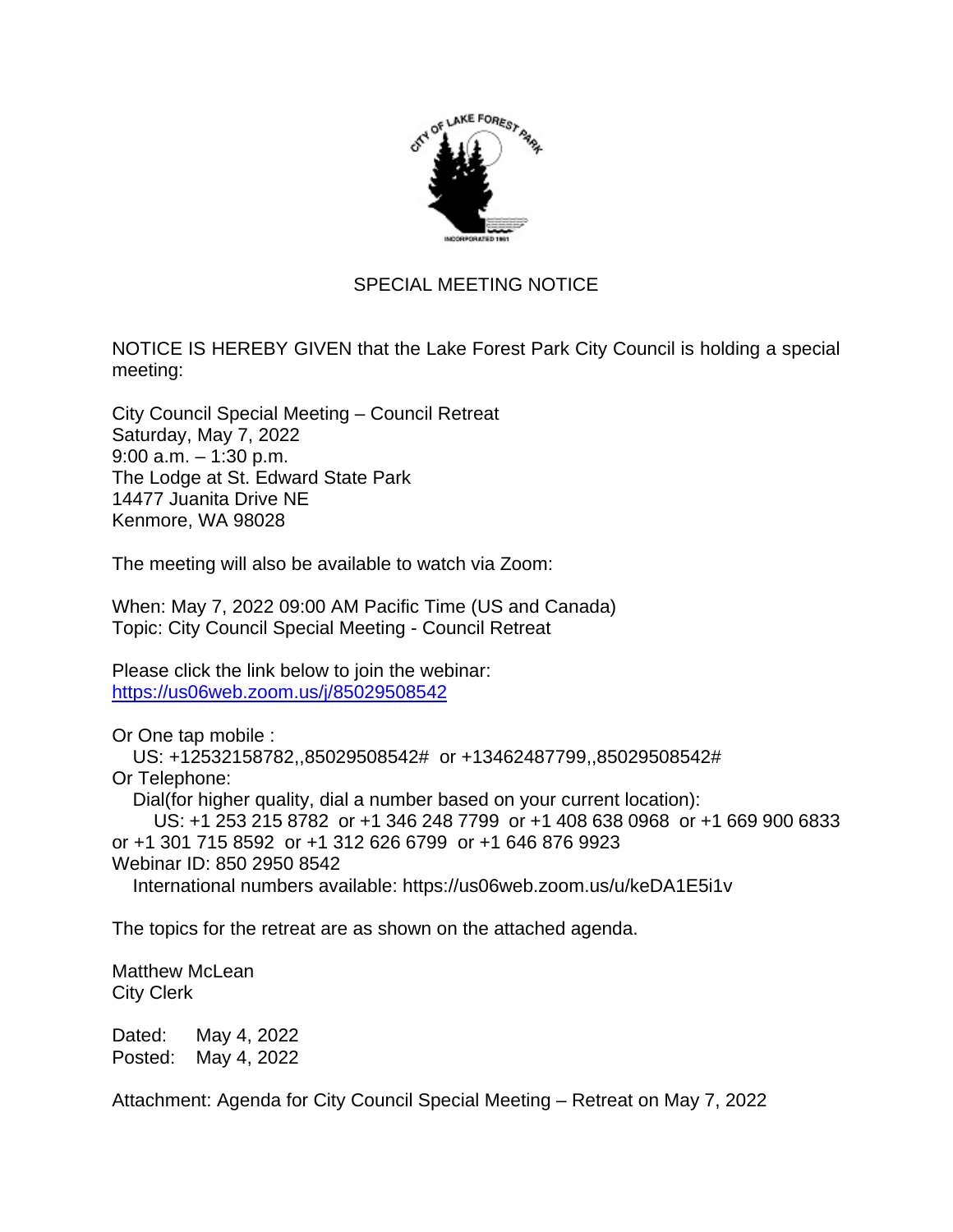

## SPECIAL MEETING NOTICE

NOTICE IS HEREBY GIVEN that the Lake Forest Park City Council is holding a special meeting:

City Council Special Meeting – Council Retreat Saturday, May 7, 2022 9:00 a.m. – 1:30 p.m. The Lodge at St. Edward State Park 14477 Juanita Drive NE Kenmore, WA 98028

The meeting will also be available to watch via Zoom:

When: May 7, 2022 09:00 AM Pacific Time (US and Canada) Topic: City Council Special Meeting - Council Retreat

Please click the link below to join the webinar: <https://us06web.zoom.us/j/85029508542>

Or One tap mobile :

 US: +12532158782,,85029508542# or +13462487799,,85029508542# Or Telephone:

Dial(for higher quality, dial a number based on your current location):

 US: +1 253 215 8782 or +1 346 248 7799 or +1 408 638 0968 or +1 669 900 6833 or +1 301 715 8592 or +1 312 626 6799 or +1 646 876 9923 Webinar ID: 850 2950 8542

International numbers available: https://us06web.zoom.us/u/keDA1E5i1v

The topics for the retreat are as shown on the attached agenda.

Matthew McLean City Clerk

Dated: May 4, 2022 Posted: May 4, 2022

Attachment: Agenda for City Council Special Meeting – Retreat on May 7, 2022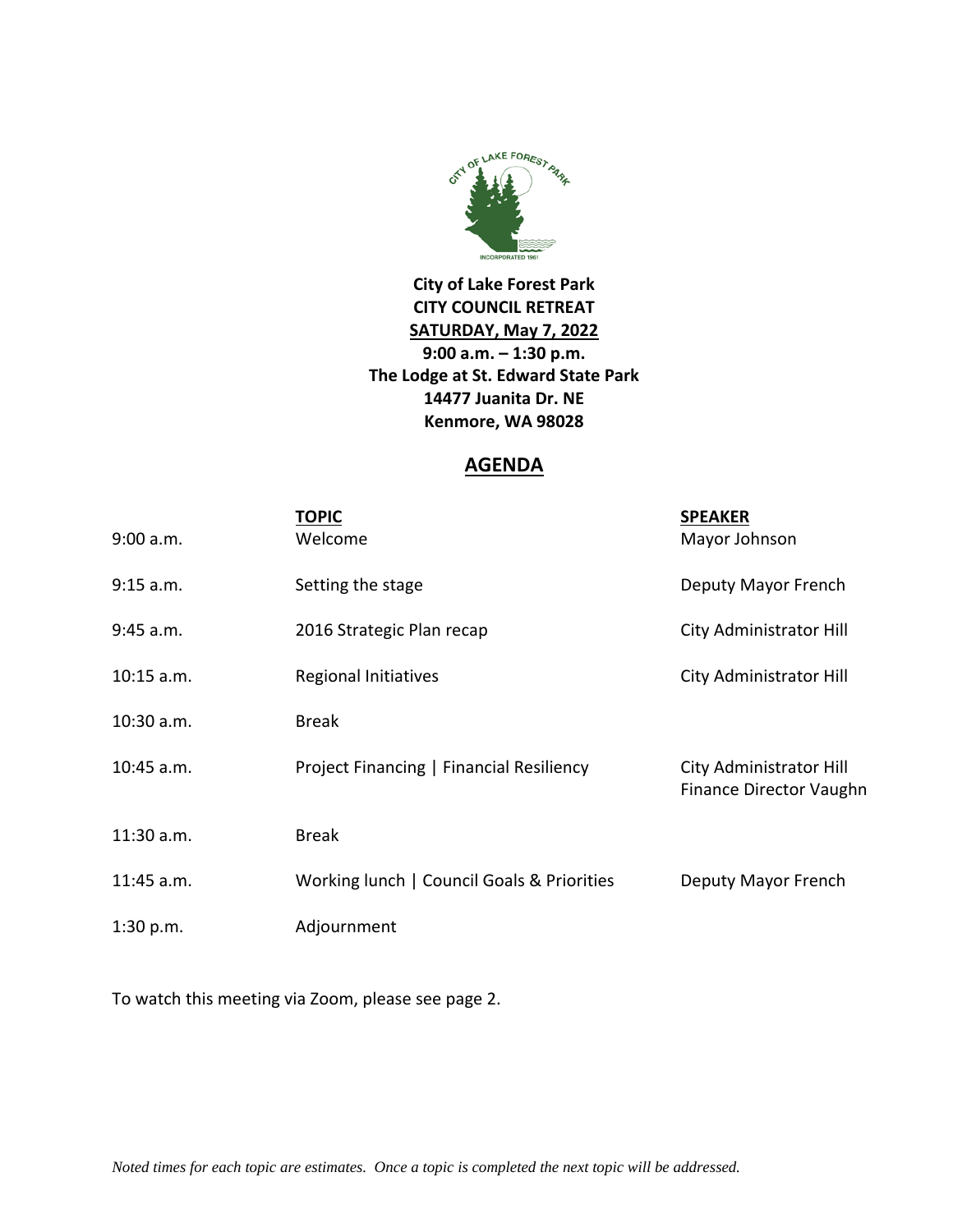

**City of Lake Forest Park CITY COUNCIL RETREAT SATURDAY, May 7, 2022 9:00 a.m. – 1:30 p.m. The Lodge at St. Edward State Park 14477 Juanita Dr. NE Kenmore, WA 98028**

## **AGENDA**

| 9:00 a.m.    | <u>TOPIC</u><br>Welcome                    | <b>SPEAKER</b><br>Mayor Johnson                           |
|--------------|--------------------------------------------|-----------------------------------------------------------|
| 9:15 a.m.    | Setting the stage                          | Deputy Mayor French                                       |
| 9:45 a.m.    | 2016 Strategic Plan recap                  | City Administrator Hill                                   |
| $10:15$ a.m. | Regional Initiatives                       | City Administrator Hill                                   |
| 10:30 a.m.   | <b>Break</b>                               |                                                           |
| 10:45 a.m.   | Project Financing   Financial Resiliency   | City Administrator Hill<br><b>Finance Director Vaughn</b> |
| 11:30 a.m.   | <b>Break</b>                               |                                                           |
| 11:45 a.m.   | Working lunch   Council Goals & Priorities | Deputy Mayor French                                       |
| 1:30 p.m.    | Adjournment                                |                                                           |

To watch this meeting via Zoom, please see page 2.